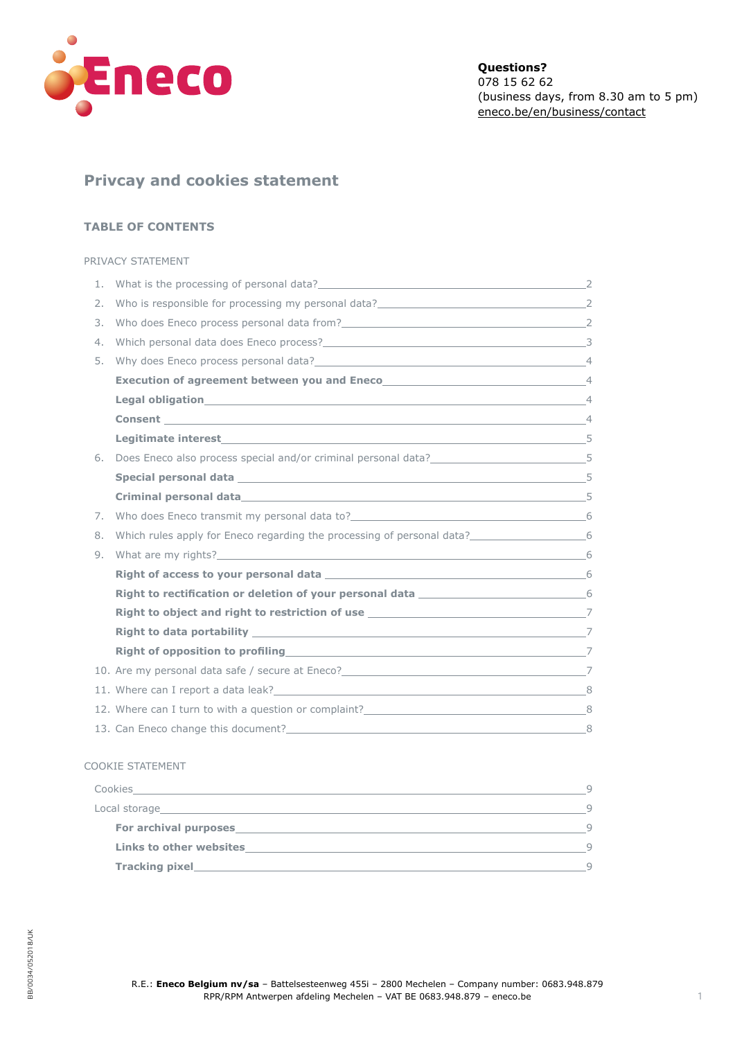<span id="page-0-0"></span>

# **Privcay and cookies statement**

# **TABLE OF CONTENTS**

## [PRIVACY STATEMENT](#page-1-0)

| 1. | What is the processing of personal data?<br>2                                                                   |   |
|----|-----------------------------------------------------------------------------------------------------------------|---|
| 2. |                                                                                                                 |   |
| 3. |                                                                                                                 |   |
| 4. |                                                                                                                 |   |
| 5. | Why does Eneco process personal data? 44                                                                        |   |
|    |                                                                                                                 |   |
|    | Legal obligation 44                                                                                             |   |
|    | <b>Consent</b> 4                                                                                                |   |
|    |                                                                                                                 |   |
| 6. | Does Eneco also process special and/or criminal personal data? 55                                               |   |
|    |                                                                                                                 |   |
|    |                                                                                                                 |   |
| 7. |                                                                                                                 |   |
| 8. | Which rules apply for Eneco regarding the processing of personal data?______________________________6           |   |
| 9. | What are my rights? 6                                                                                           |   |
|    | Right of access to your personal data and the set of the set of the set of the set of the set of the set of the |   |
|    |                                                                                                                 |   |
|    |                                                                                                                 |   |
|    |                                                                                                                 |   |
|    |                                                                                                                 |   |
|    |                                                                                                                 |   |
|    |                                                                                                                 |   |
|    | 12. Where can I turn to with a question or complaint? 8                                                         |   |
|    | 13. Can Eneco change this document?<br><u> 1989 - Johann Barn, mars an t-Amerikaansk politiker (</u>            | 8 |

## [COOKIE STATEMENT](#page-8-0)

| Cookies                        | Q      |
|--------------------------------|--------|
| Local storage                  |        |
| For archival purposes          | $\cup$ |
| <b>Links to other websites</b> | Q      |
| Tracking pixel                 | Q      |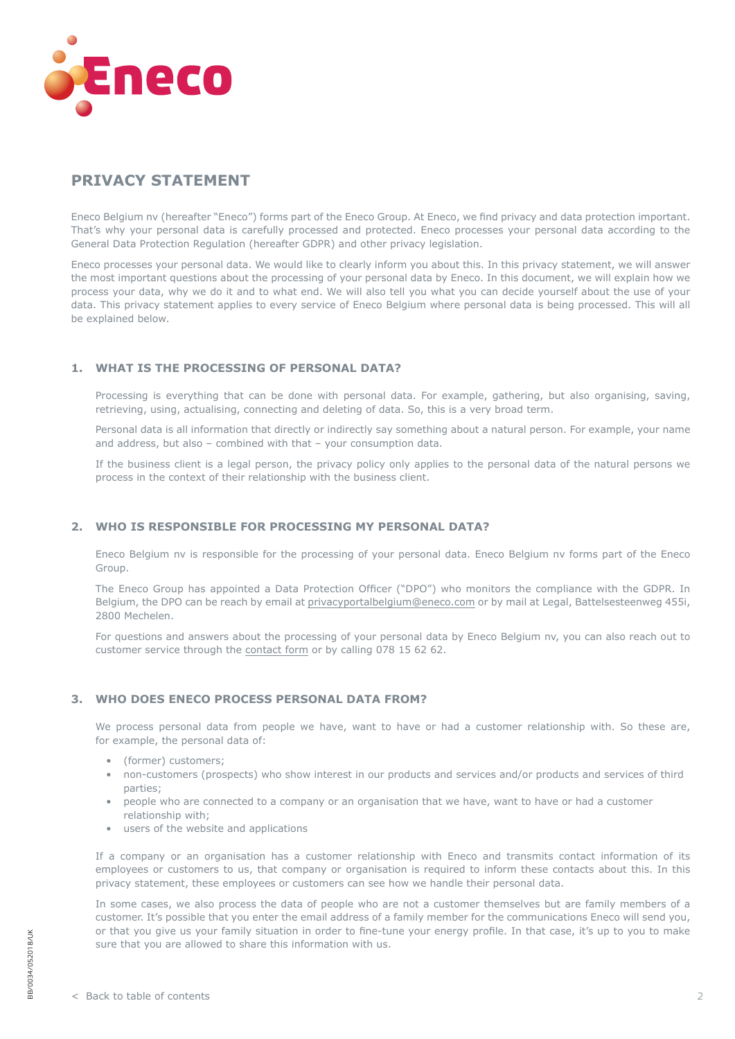<span id="page-1-0"></span>

# **PRIVACY STATEMENT**

Eneco Belgium nv (hereafter "Eneco") forms part of the Eneco Group. At Eneco, we find privacy and data protection important. That's why your personal data is carefully processed and protected. Eneco processes your personal data according to the General Data Protection Regulation (hereafter GDPR) and other privacy legislation.

Eneco processes your personal data. We would like to clearly inform you about this. In this privacy statement, we will answer the most important questions about the processing of your personal data by Eneco. In this document, we will explain how we process your data, why we do it and to what end. We will also tell you what you can decide yourself about the use of your data. This privacy statement applies to every service of Eneco Belgium where personal data is being processed. This will all be explained below.

# **1. WHAT IS THE PROCESSING OF PERSONAL DATA?**

Processing is everything that can be done with personal data. For example, gathering, but also organising, saving, retrieving, using, actualising, connecting and deleting of data. So, this is a very broad term.

Personal data is all information that directly or indirectly say something about a natural person. For example, your name and address, but also – combined with that – your consumption data.

If the business client is a legal person, the privacy policy only applies to the personal data of the natural persons we process in the context of their relationship with the business client.

# **2. WHO IS RESPONSIBLE FOR PROCESSING MY PERSONAL DATA?**

Eneco Belgium nv is responsible for the processing of your personal data. Eneco Belgium nv forms part of the Eneco Group.

The Eneco Group has appointed a Data Protection Officer ("DPO") who monitors the compliance with the GDPR. In Belgium, the DPO can be reach by email at [privacyportalbelgium@eneco.com](mailto:privacyportalbelgium%40eneco.com?subject=) or by mail at Legal, Battelsesteenweg 455i, 2800 Mechelen.

For questions and answers about the processing of your personal data by Eneco Belgium nv, you can also reach out to customer service through the [contact form](http://eneco.be/en/business/forms/contact) or by calling 078 15 62 62.

# **3. WHO DOES ENECO PROCESS PERSONAL DATA FROM?**

We process personal data from people we have, want to have or had a customer relationship with. So these are, for example, the personal data of:

- (former) customers;
- non-customers (prospects) who show interest in our products and services and/or products and services of third parties;
- people who are connected to a company or an organisation that we have, want to have or had a customer relationship with;
- users of the website and applications

If a company or an organisation has a customer relationship with Eneco and transmits contact information of its employees or customers to us, that company or organisation is required to inform these contacts about this. In this privacy statement, these employees or customers can see how we handle their personal data.

In some cases, we also process the data of people who are not a customer themselves but are family members of a customer. It's possible that you enter the email address of a family member for the communications Eneco will send you, or that you give us your family situation in order to fine-tune your energy profile. In that case, it's up to you to make sure that you are allowed to share this information with us.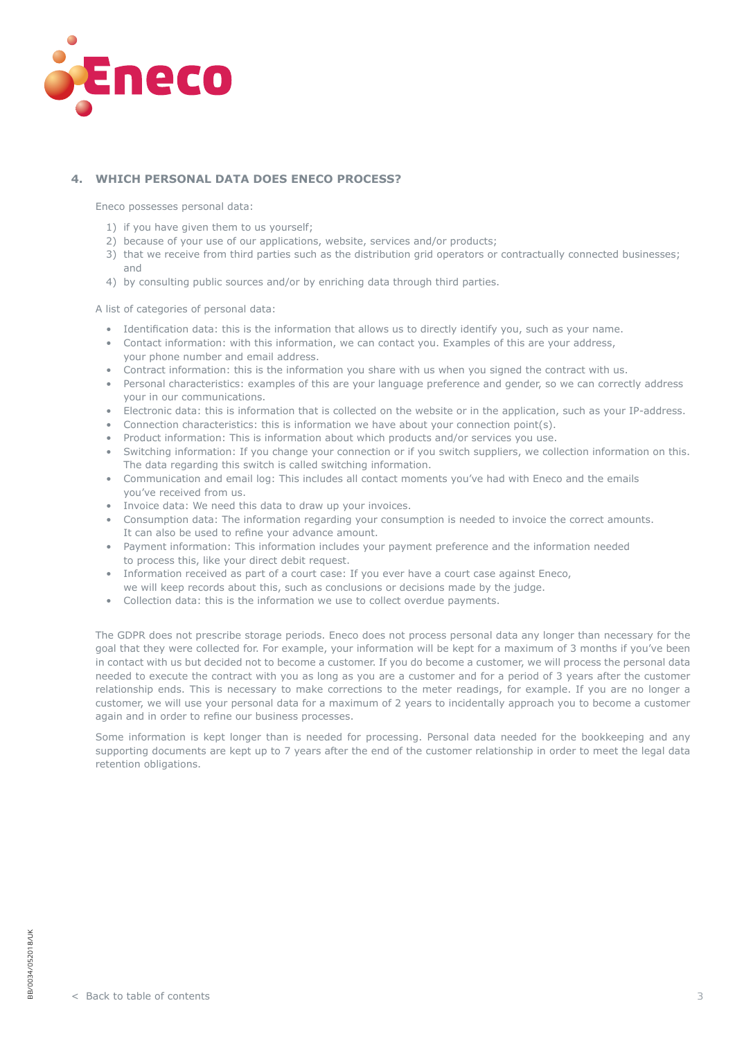<span id="page-2-0"></span>

# **4. WHICH PERSONAL DATA DOES ENECO PROCESS?**

Eneco possesses personal data:

- 1) if you have given them to us yourself;
- 2) because of your use of our applications, website, services and/or products;
- 3) that we receive from third parties such as the distribution grid operators or contractually connected businesses; and
- 4) by consulting public sources and/or by enriching data through third parties.

A list of categories of personal data:

- Identification data: this is the information that allows us to directly identify you, such as your name.
- Contact information: with this information, we can contact you. Examples of this are your address, your phone number and email address.
- Contract information: this is the information you share with us when you signed the contract with us.
- Personal characteristics: examples of this are your language preference and gender, so we can correctly address your in our communications.
- Electronic data: this is information that is collected on the website or in the application, such as your IP-address.
- Connection characteristics: this is information we have about your connection point(s).
- Product information: This is information about which products and/or services you use.
- Switching information: If you change your connection or if you switch suppliers, we collection information on this. The data regarding this switch is called switching information.
- Communication and email log: This includes all contact moments you've had with Eneco and the emails you've received from us.
- Invoice data: We need this data to draw up your invoices.
- Consumption data: The information regarding your consumption is needed to invoice the correct amounts. It can also be used to refine your advance amount.
- Payment information: This information includes your payment preference and the information needed to process this, like your direct debit request.
- Information received as part of a court case: If you ever have a court case against Eneco,
- we will keep records about this, such as conclusions or decisions made by the judge.
- Collection data: this is the information we use to collect overdue payments.

The GDPR does not prescribe storage periods. Eneco does not process personal data any longer than necessary for the goal that they were collected for. For example, your information will be kept for a maximum of 3 months if you've been in contact with us but decided not to become a customer. If you do become a customer, we will process the personal data needed to execute the contract with you as long as you are a customer and for a period of 3 years after the customer relationship ends. This is necessary to make corrections to the meter readings, for example. If you are no longer a customer, we will use your personal data for a maximum of 2 years to incidentally approach you to become a customer again and in order to refine our business processes.

Some information is kept longer than is needed for processing. Personal data needed for the bookkeeping and any supporting documents are kept up to 7 years after the end of the customer relationship in order to meet the legal data retention obligations.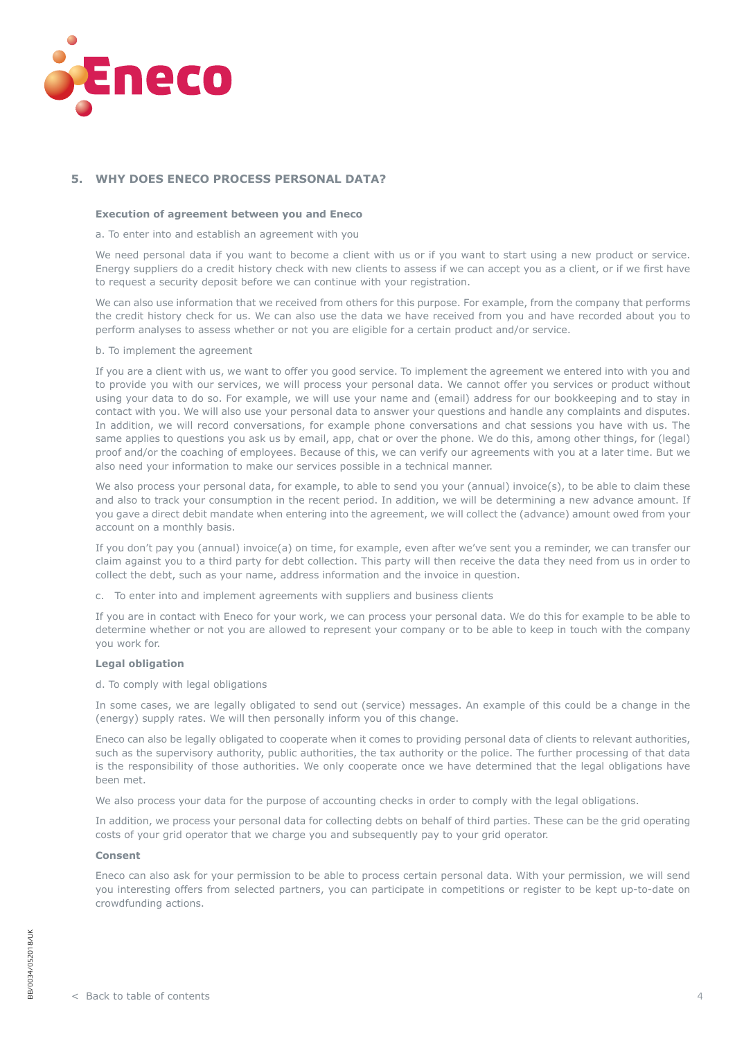<span id="page-3-0"></span>

# **5. WHY DOES ENECO PROCESS PERSONAL DATA?**

#### **Execution of agreement between you and Eneco**

a. To enter into and establish an agreement with you

We need personal data if you want to become a client with us or if you want to start using a new product or service. Energy suppliers do a credit history check with new clients to assess if we can accept you as a client, or if we first have to request a security deposit before we can continue with your registration.

We can also use information that we received from others for this purpose. For example, from the company that performs the credit history check for us. We can also use the data we have received from you and have recorded about you to perform analyses to assess whether or not you are eligible for a certain product and/or service.

#### b. To implement the agreement

If you are a client with us, we want to offer you good service. To implement the agreement we entered into with you and to provide you with our services, we will process your personal data. We cannot offer you services or product without using your data to do so. For example, we will use your name and (email) address for our bookkeeping and to stay in contact with you. We will also use your personal data to answer your questions and handle any complaints and disputes. In addition, we will record conversations, for example phone conversations and chat sessions you have with us. The same applies to questions you ask us by email, app, chat or over the phone. We do this, among other things, for (legal) proof and/or the coaching of employees. Because of this, we can verify our agreements with you at a later time. But we also need your information to make our services possible in a technical manner.

We also process your personal data, for example, to able to send you your (annual) invoice(s), to be able to claim these and also to track your consumption in the recent period. In addition, we will be determining a new advance amount. If you gave a direct debit mandate when entering into the agreement, we will collect the (advance) amount owed from your account on a monthly basis.

If you don't pay you (annual) invoice(a) on time, for example, even after we've sent you a reminder, we can transfer our claim against you to a third party for debt collection. This party will then receive the data they need from us in order to collect the debt, such as your name, address information and the invoice in question.

c. To enter into and implement agreements with suppliers and business clients

If you are in contact with Eneco for your work, we can process your personal data. We do this for example to be able to determine whether or not you are allowed to represent your company or to be able to keep in touch with the company you work for.

#### **Legal obligation**

#### d. To comply with legal obligations

In some cases, we are legally obligated to send out (service) messages. An example of this could be a change in the (energy) supply rates. We will then personally inform you of this change.

Eneco can also be legally obligated to cooperate when it comes to providing personal data of clients to relevant authorities, such as the supervisory authority, public authorities, the tax authority or the police. The further processing of that data is the responsibility of those authorities. We only cooperate once we have determined that the legal obligations have been met.

We also process your data for the purpose of accounting checks in order to comply with the legal obligations.

In addition, we process your personal data for collecting debts on behalf of third parties. These can be the grid operating costs of your grid operator that we charge you and subsequently pay to your grid operator.

#### **Consent**

Eneco can also ask for your permission to be able to process certain personal data. With your permission, we will send you interesting offers from selected partners, you can participate in competitions or register to be kept up-to-date on crowdfunding actions.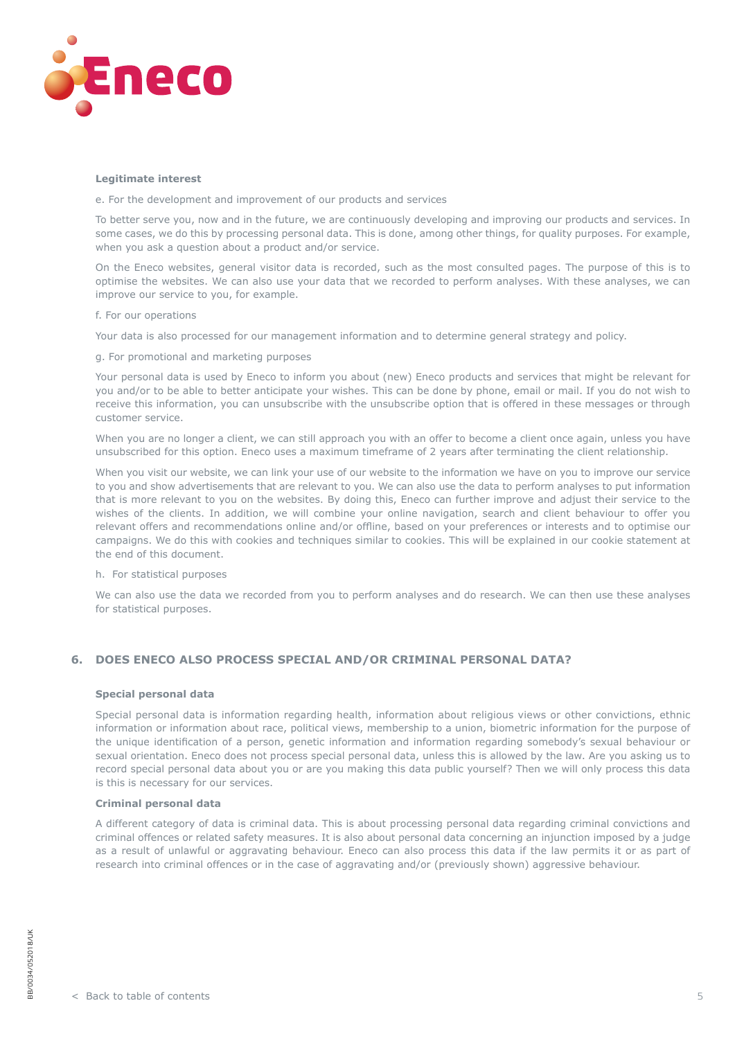<span id="page-4-0"></span>

#### **Legitimate interest**

e. For the development and improvement of our products and services

To better serve you, now and in the future, we are continuously developing and improving our products and services. In some cases, we do this by processing personal data. This is done, among other things, for quality purposes. For example, when you ask a question about a product and/or service.

On the Eneco websites, general visitor data is recorded, such as the most consulted pages. The purpose of this is to optimise the websites. We can also use your data that we recorded to perform analyses. With these analyses, we can improve our service to you, for example.

#### f. For our operations

Your data is also processed for our management information and to determine general strategy and policy.

g. For promotional and marketing purposes

Your personal data is used by Eneco to inform you about (new) Eneco products and services that might be relevant for you and/or to be able to better anticipate your wishes. This can be done by phone, email or mail. If you do not wish to receive this information, you can unsubscribe with the unsubscribe option that is offered in these messages or through customer service.

When you are no longer a client, we can still approach you with an offer to become a client once again, unless you have unsubscribed for this option. Eneco uses a maximum timeframe of 2 years after terminating the client relationship.

When you visit our website, we can link your use of our website to the information we have on you to improve our service to you and show advertisements that are relevant to you. We can also use the data to perform analyses to put information that is more relevant to you on the websites. By doing this, Eneco can further improve and adjust their service to the wishes of the clients. In addition, we will combine your online navigation, search and client behaviour to offer you relevant offers and recommendations online and/or offline, based on your preferences or interests and to optimise our campaigns. We do this with cookies and techniques similar to cookies. This will be explained in our cookie statement at the end of this document.

h. For statistical purposes

We can also use the data we recorded from you to perform analyses and do research. We can then use these analyses for statistical purposes.

# **6. DOES ENECO ALSO PROCESS SPECIAL AND/OR CRIMINAL PERSONAL DATA?**

### **Special personal data**

Special personal data is information regarding health, information about religious views or other convictions, ethnic information or information about race, political views, membership to a union, biometric information for the purpose of the unique identification of a person, genetic information and information regarding somebody's sexual behaviour or sexual orientation. Eneco does not process special personal data, unless this is allowed by the law. Are you asking us to record special personal data about you or are you making this data public yourself? Then we will only process this data is this is necessary for our services.

#### **Criminal personal data**

A different category of data is criminal data. This is about processing personal data regarding criminal convictions and criminal offences or related safety measures. It is also about personal data concerning an injunction imposed by a judge as a result of unlawful or aggravating behaviour. Eneco can also process this data if the law permits it or as part of research into criminal offences or in the case of aggravating and/or (previously shown) aggressive behaviour.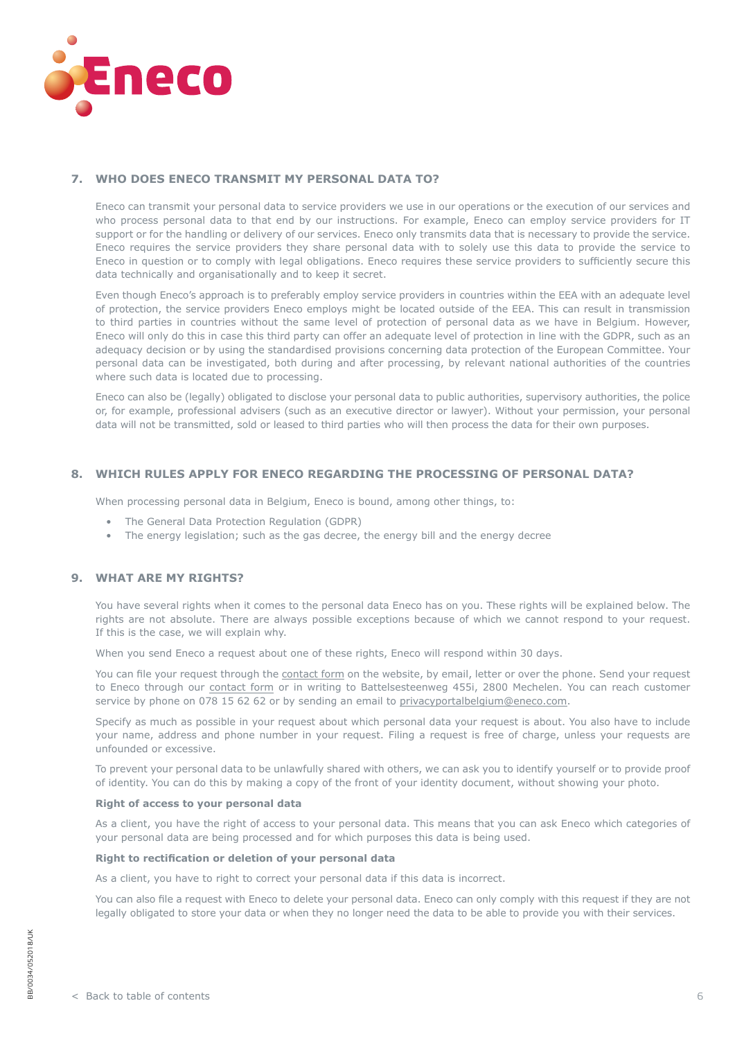<span id="page-5-0"></span>

## **7. WHO DOES ENECO TRANSMIT MY PERSONAL DATA TO?**

Eneco can transmit your personal data to service providers we use in our operations or the execution of our services and who process personal data to that end by our instructions. For example, Eneco can employ service providers for IT support or for the handling or delivery of our services. Eneco only transmits data that is necessary to provide the service. Eneco requires the service providers they share personal data with to solely use this data to provide the service to Eneco in question or to comply with legal obligations. Eneco requires these service providers to sufficiently secure this data technically and organisationally and to keep it secret.

Even though Eneco's approach is to preferably employ service providers in countries within the EEA with an adequate level of protection, the service providers Eneco employs might be located outside of the EEA. This can result in transmission to third parties in countries without the same level of protection of personal data as we have in Belgium. However, Eneco will only do this in case this third party can offer an adequate level of protection in line with the GDPR, such as an adequacy decision or by using the standardised provisions concerning data protection of the European Committee. Your personal data can be investigated, both during and after processing, by relevant national authorities of the countries where such data is located due to processing.

Eneco can also be (legally) obligated to disclose your personal data to public authorities, supervisory authorities, the police or, for example, professional advisers (such as an executive director or lawyer). Without your permission, your personal data will not be transmitted, sold or leased to third parties who will then process the data for their own purposes.

## **8. WHICH RULES APPLY FOR ENECO REGARDING THE PROCESSING OF PERSONAL DATA?**

When processing personal data in Belgium, Eneco is bound, among other things, to:

- The General Data Protection Regulation (GDPR)
- The energy legislation; such as the gas decree, the energy bill and the energy decree

## **9. WHAT ARE MY RIGHTS?**

You have several rights when it comes to the personal data Eneco has on you. These rights will be explained below. The rights are not absolute. There are always possible exceptions because of which we cannot respond to your request. If this is the case, we will explain why.

When you send Eneco a request about one of these rights, Eneco will respond within 30 days.

You can file your request through the [contact form](https://eneco.be/en/business/forms/contact) on the website, by email, letter or over the phone. Send your request to Eneco through our [contact form](https://eneco.be/en/business/forms/contact) or in writing to Battelsesteenweg 455i, 2800 Mechelen. You can reach customer service by phone on 078 15 62 62 or by sending an email to [privacyportalbelgium@eneco.com](mailto:privacyportalbelgium%40eneco.com?subject=).

Specify as much as possible in your request about which personal data your request is about. You also have to include your name, address and phone number in your request. Filing a request is free of charge, unless your requests are unfounded or excessive.

To prevent your personal data to be unlawfully shared with others, we can ask you to identify yourself or to provide proof of identity. You can do this by making a copy of the front of your identity document, without showing your photo.

#### **Right of access to your personal data**

As a client, you have the right of access to your personal data. This means that you can ask Eneco which categories of your personal data are being processed and for which purposes this data is being used.

#### **Right to rectification or deletion of your personal data**

As a client, you have to right to correct your personal data if this data is incorrect.

You can also file a request with Eneco to delete your personal data. Eneco can only comply with this request if they are not legally obligated to store your data or when they no longer need the data to be able to provide you with their services.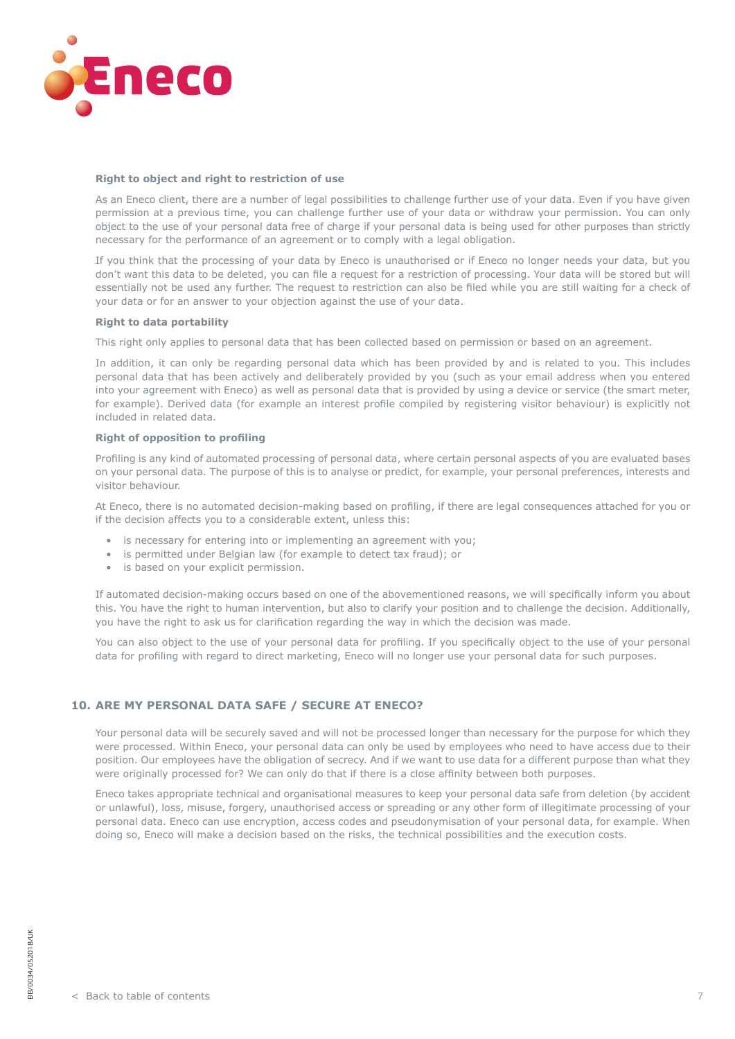<span id="page-6-0"></span>

#### **Right to object and right to restriction of use**

As an Eneco client, there are a number of legal possibilities to challenge further use of your data. Even if you have given permission at a previous time, you can challenge further use of your data or withdraw your permission. You can only object to the use of your personal data free of charge if your personal data is being used for other purposes than strictly necessary for the performance of an agreement or to comply with a legal obligation.

If you think that the processing of your data by Eneco is unauthorised or if Eneco no longer needs your data, but you don't want this data to be deleted, you can file a request for a restriction of processing. Your data will be stored but will essentially not be used any further. The request to restriction can also be filed while you are still waiting for a check of your data or for an answer to your objection against the use of your data.

#### **Right to data portability**

This right only applies to personal data that has been collected based on permission or based on an agreement.

In addition, it can only be regarding personal data which has been provided by and is related to you. This includes personal data that has been actively and deliberately provided by you (such as your email address when you entered into your agreement with Eneco) as well as personal data that is provided by using a device or service (the smart meter, for example). Derived data (for example an interest profile compiled by registering visitor behaviour) is explicitly not included in related data.

## **Right of opposition to profiling**

Profiling is any kind of automated processing of personal data, where certain personal aspects of you are evaluated bases on your personal data. The purpose of this is to analyse or predict, for example, your personal preferences, interests and visitor behaviour.

At Eneco, there is no automated decision-making based on profiling, if there are legal consequences attached for you or if the decision affects you to a considerable extent, unless this:

- is necessary for entering into or implementing an agreement with you;
- is permitted under Belgian law (for example to detect tax fraud); or
- is based on your explicit permission.

If automated decision-making occurs based on one of the abovementioned reasons, we will specifically inform you about this. You have the right to human intervention, but also to clarify your position and to challenge the decision. Additionally, you have the right to ask us for clarification regarding the way in which the decision was made.

You can also object to the use of your personal data for profiling. If you specifically object to the use of your personal data for profiling with regard to direct marketing, Eneco will no longer use your personal data for such purposes.

## **10. ARE MY PERSONAL DATA SAFE / SECURE AT ENECO?**

Your personal data will be securely saved and will not be processed longer than necessary for the purpose for which they were processed. Within Eneco, your personal data can only be used by employees who need to have access due to their position. Our employees have the obligation of secrecy. And if we want to use data for a different purpose than what they were originally processed for? We can only do that if there is a close affinity between both purposes.

Eneco takes appropriate technical and organisational measures to keep your personal data safe from deletion (by accident or unlawful), loss, misuse, forgery, unauthorised access or spreading or any other form of illegitimate processing of your personal data. Eneco can use encryption, access codes and pseudonymisation of your personal data, for example. When doing so, Eneco will make a decision based on the risks, the technical possibilities and the execution costs.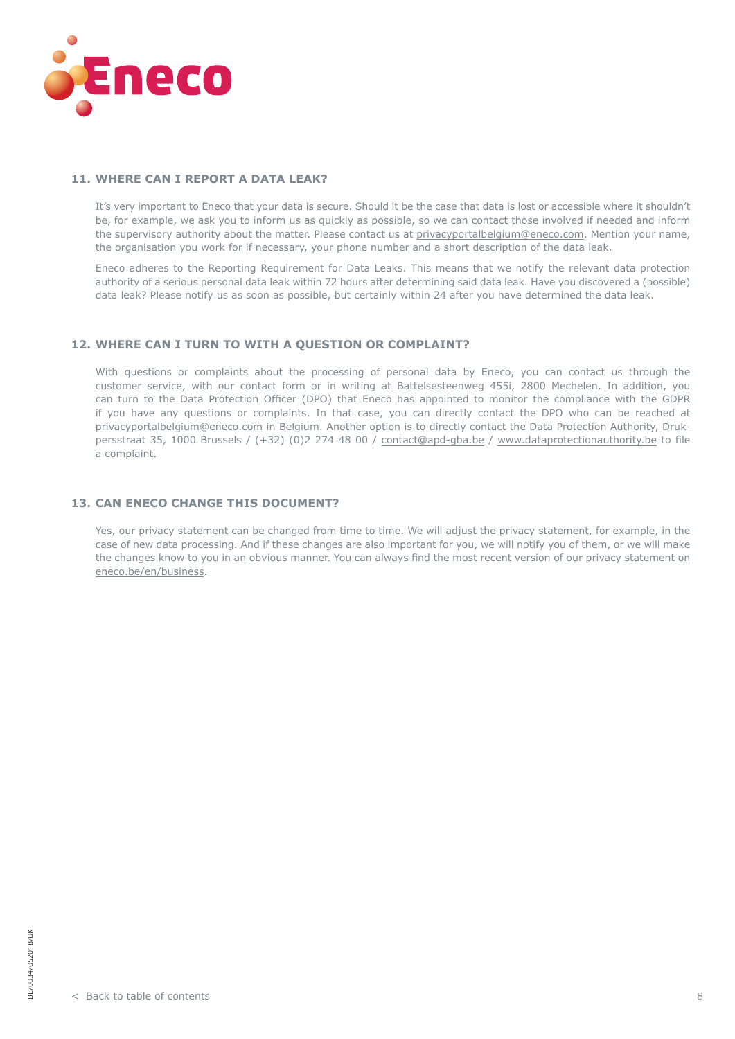<span id="page-7-0"></span>

### **11. WHERE CAN I REPORT A DATA LEAK?**

It's very important to Eneco that your data is secure. Should it be the case that data is lost or accessible where it shouldn't be, for example, we ask you to inform us as quickly as possible, so we can contact those involved if needed and inform the supervisory authority about the matter. Please contact us at [privacyportalbelgium@eneco.com.](mailto:privacyportalbelgium%40eneco.com?subject=) Mention your name, the organisation you work for if necessary, your phone number and a short description of the data leak.

Eneco adheres to the Reporting Requirement for Data Leaks. This means that we notify the relevant data protection authority of a serious personal data leak within 72 hours after determining said data leak. Have you discovered a (possible) data leak? Please notify us as soon as possible, but certainly within 24 after you have determined the data leak.

# **12. WHERE CAN I TURN TO WITH A QUESTION OR COMPLAINT?**

With questions or complaints about the processing of personal data by Eneco, you can contact us through the customer service, with [our contact form](https://eneco.be/en/business/forms/contact) or in writing at Battelsesteenweg 455i, 2800 Mechelen. In addition, you can turn to the Data Protection Officer (DPO) that Eneco has appointed to monitor the compliance with the GDPR if you have any questions or complaints. In that case, you can directly contact the DPO who can be reached at [privacyportalbelgium@eneco.com](mailto:privacyportalbelgium%40eneco.com?subject=) in Belgium. Another option is to directly contact the Data Protection Authority, Drukpersstraat 35, 1000 Brussels / (+32) (0)2 274 48 00 / [contact@apd-gba.be](mailto:contact%40apd-gba.be?subject=) / [www.dataprotectionauthority.be](https://www.dataprotectionauthority.be/) to file a complaint.

## **13. CAN ENECO CHANGE THIS DOCUMENT?**

Yes, our privacy statement can be changed from time to time. We will adjust the privacy statement, for example, in the case of new data processing. And if these changes are also important for you, we will notify you of them, or we will make the changes know to you in an obvious manner. You can always find the most recent version of our privacy statement on [eneco.be/en/business](http://eneco.be/en/business).